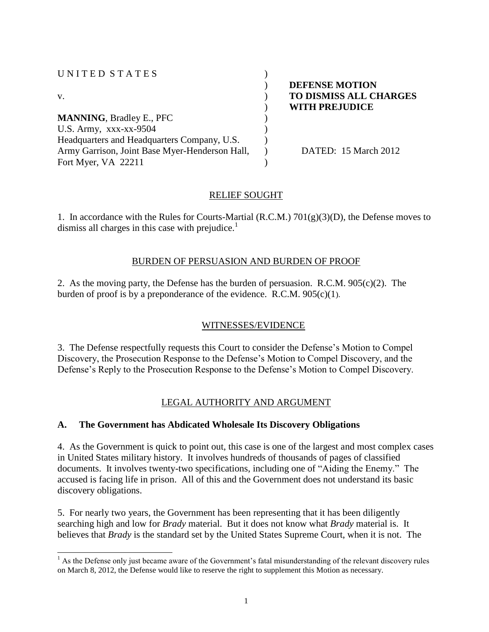| UNITED STATES                                  |                               |
|------------------------------------------------|-------------------------------|
|                                                | <b>DEFENSE MOTION</b>         |
| V.                                             | <b>TO DISMISS ALL CHARGES</b> |
|                                                | <b>WITH PREJUDICE</b>         |
| <b>MANNING, Bradley E., PFC</b>                |                               |
| U.S. Army, xxx-xx-9504                         |                               |
| Headquarters and Headquarters Company, U.S.    |                               |
| Army Garrison, Joint Base Myer-Henderson Hall, | DATED: 15 March 2012          |
| Fort Myer, VA 22211                            |                               |

## RELIEF SOUGHT

1. In accordance with the Rules for Courts-Martial (R.C.M.) 701(g)(3)(D), the Defense moves to dismiss all charges in this case with prejudice. $<sup>1</sup>$ </sup>

### BURDEN OF PERSUASION AND BURDEN OF PROOF

2. As the moving party, the Defense has the burden of persuasion. R.C.M. 905(c)(2). The burden of proof is by a preponderance of the evidence. R.C.M. 905(c)(1).

## WITNESSES/EVIDENCE

3. The Defense respectfully requests this Court to consider the Defense's Motion to Compel Discovery, the Prosecution Response to the Defense's Motion to Compel Discovery, and the Defense's Reply to the Prosecution Response to the Defense's Motion to Compel Discovery.

# LEGAL AUTHORITY AND ARGUMENT

## **A. The Government has Abdicated Wholesale Its Discovery Obligations**

4. As the Government is quick to point out, this case is one of the largest and most complex cases in United States military history. It involves hundreds of thousands of pages of classified documents. It involves twenty-two specifications, including one of "Aiding the Enemy." The accused is facing life in prison. All of this and the Government does not understand its basic discovery obligations.

5. For nearly two years, the Government has been representing that it has been diligently searching high and low for *Brady* material. But it does not know what *Brady* material is. It believes that *Brady* is the standard set by the United States Supreme Court, when it is not. The

 $\overline{a}$  $<sup>1</sup>$  As the Defense only just became aware of the Government's fatal misunderstanding of the relevant discovery rules</sup> on March 8, 2012, the Defense would like to reserve the right to supplement this Motion as necessary.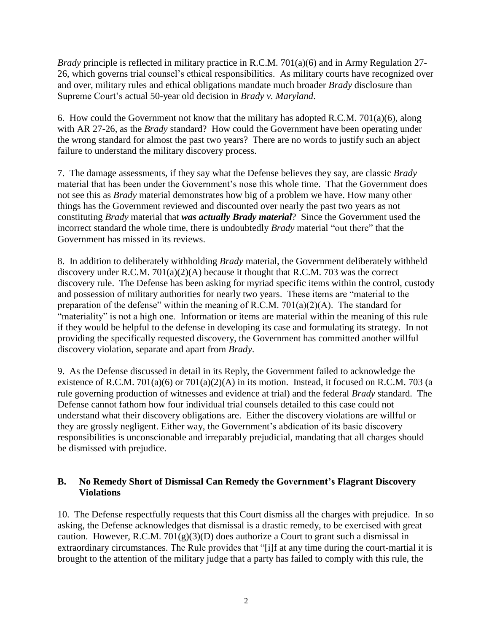*Brady* principle is reflected in military practice in R.C.M. 701(a)(6) and in Army Regulation 27- 26, which governs trial counsel's ethical responsibilities. As military courts have recognized over and over, military rules and ethical obligations mandate much broader *Brady* disclosure than Supreme Court's actual 50-year old decision in *Brady v. Maryland*.

6. How could the Government not know that the military has adopted R.C.M. 701(a)(6), along with AR 27-26, as the *Brady* standard? How could the Government have been operating under the wrong standard for almost the past two years? There are no words to justify such an abject failure to understand the military discovery process.

7. The damage assessments, if they say what the Defense believes they say, are classic *Brady*  material that has been under the Government's nose this whole time. That the Government does not see this as *Brady* material demonstrates how big of a problem we have. How many other things has the Government reviewed and discounted over nearly the past two years as not constituting *Brady* material that *was actually Brady material*? Since the Government used the incorrect standard the whole time, there is undoubtedly *Brady* material "out there" that the Government has missed in its reviews.

8. In addition to deliberately withholding *Brady* material, the Government deliberately withheld discovery under R.C.M. 701(a)(2)(A) because it thought that R.C.M. 703 was the correct discovery rule. The Defense has been asking for myriad specific items within the control, custody and possession of military authorities for nearly two years. These items are "material to the preparation of the defense" within the meaning of R.C.M. 701(a)(2)(A). The standard for "materiality" is not a high one. Information or items are material within the meaning of this rule if they would be helpful to the defense in developing its case and formulating its strategy. In not providing the specifically requested discovery, the Government has committed another willful discovery violation, separate and apart from *Brady*.

9. As the Defense discussed in detail in its Reply, the Government failed to acknowledge the existence of R.C.M. 701(a)(6) or 701(a)(2)(A) in its motion. Instead, it focused on R.C.M. 703 (a rule governing production of witnesses and evidence at trial) and the federal *Brady* standard. The Defense cannot fathom how four individual trial counsels detailed to this case could not understand what their discovery obligations are. Either the discovery violations are willful or they are grossly negligent. Either way, the Government's abdication of its basic discovery responsibilities is unconscionable and irreparably prejudicial, mandating that all charges should be dismissed with prejudice.

## **B. No Remedy Short of Dismissal Can Remedy the Government's Flagrant Discovery Violations**

10. The Defense respectfully requests that this Court dismiss all the charges with prejudice. In so asking, the Defense acknowledges that dismissal is a drastic remedy, to be exercised with great caution. However, R.C.M. 701 $(g)(3)(D)$  does authorize a Court to grant such a dismissal in extraordinary circumstances. The Rule provides that "[i]f at any time during the court-martial it is brought to the attention of the military judge that a party has failed to comply with this rule, the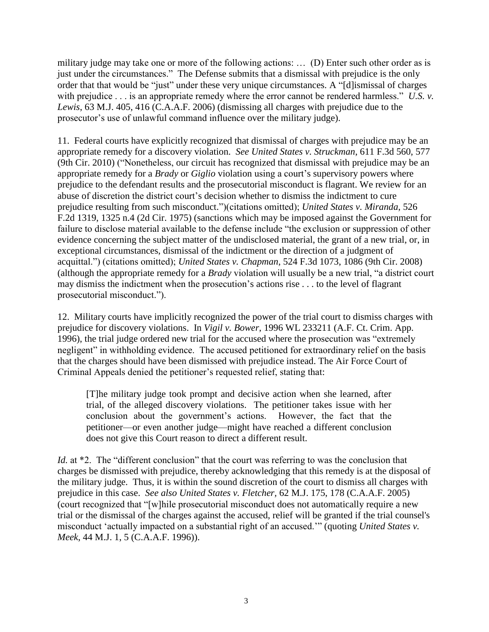military judge may take one or more of the following actions: … (D) Enter such other order as is just under the circumstances." The Defense submits that a dismissal with prejudice is the only order that that would be "just" under these very unique circumstances. A "[d]ismissal of charges with prejudice . . . is an appropriate remedy where the error cannot be rendered harmless." U.S. *v*. *Lewis*, 63 M.J. 405, 416 (C.A.A.F. 2006) (dismissing all charges with prejudice due to the prosecutor's use of unlawful command influence over the military judge).

11. Federal courts have explicitly recognized that dismissal of charges with prejudice may be an appropriate remedy for a discovery violation. *See United States v. Struckman*, 611 F.3d 560, 577 (9th Cir. 2010) ("Nonetheless, our circuit has recognized that dismissal with prejudice may be an appropriate remedy for a *Brady* or *Giglio* violation using a court's supervisory powers where prejudice to the defendant results and the prosecutorial misconduct is flagrant. We review for an abuse of discretion the district court's decision whether to dismiss the indictment to cure prejudice resulting from such misconduct.")(citations omitted); *United States v. Miranda*, 526 F.2d 1319, 1325 n.4 (2d Cir. 1975) (sanctions which may be imposed against the Government for failure to disclose material available to the defense include "the exclusion or suppression of other evidence concerning the subject matter of the undisclosed material, the grant of a new trial, or, in exceptional circumstances, dismissal of the indictment or the direction of a judgment of acquittal.") (citations omitted); *United States v. Chapman*, 524 F.3d 1073, 1086 (9th Cir. 2008) (although the appropriate remedy for a *Brady* violation will usually be a new trial, "a district court may dismiss the indictment when the prosecution's actions rise . . . to the level of flagrant prosecutorial misconduct.").

12. Military courts have implicitly recognized the power of the trial court to dismiss charges with prejudice for discovery violations. In *Vigil v. Bower*, 1996 WL 233211 (A.F. Ct. Crim. App. 1996), the trial judge ordered new trial for the accused where the prosecution was "extremely negligent" in withholding evidence. The accused petitioned for extraordinary relief on the basis that the charges should have been dismissed with prejudice instead. The Air Force Court of Criminal Appeals denied the petitioner's requested relief, stating that:

[T]he military judge took prompt and decisive action when she learned, after trial, of the alleged discovery violations. The petitioner takes issue with her conclusion about the government's actions. However, the fact that the petitioner—or even another judge—might have reached a different conclusion does not give this Court reason to direct a different result.

*Id.* at \*2. The "different conclusion" that the court was referring to was the conclusion that charges be dismissed with prejudice, thereby acknowledging that this remedy is at the disposal of the military judge. Thus, it is within the sound discretion of the court to dismiss all charges with prejudice in this case. *See also United States v. Fletcher,* 62 M.J. 175, 178 (C.A.A.F. 2005) (court recognized that "[w]hile prosecutorial misconduct does not automatically require a new trial or the dismissal of the charges against the accused, relief will be granted if the trial counsel's misconduct 'actually impacted on a substantial right of an accused.'" (quoting *United States v. Meek*, 44 M.J. 1, 5 (C.A.A.F. 1996)).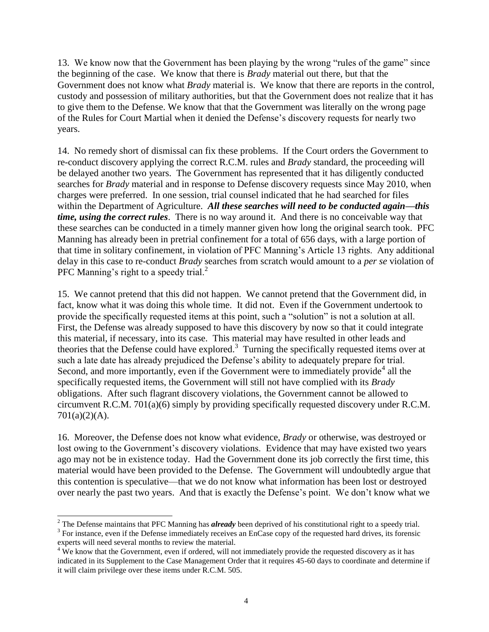13. We know now that the Government has been playing by the wrong "rules of the game" since the beginning of the case. We know that there is *Brady* material out there, but that the Government does not know what *Brady* material is. We know that there are reports in the control, custody and possession of military authorities, but that the Government does not realize that it has to give them to the Defense. We know that that the Government was literally on the wrong page of the Rules for Court Martial when it denied the Defense's discovery requests for nearly two years.

14. No remedy short of dismissal can fix these problems. If the Court orders the Government to re-conduct discovery applying the correct R.C.M. rules and *Brady* standard, the proceeding will be delayed another two years. The Government has represented that it has diligently conducted searches for *Brady* material and in response to Defense discovery requests since May 2010, when charges were preferred. In one session, trial counsel indicated that he had searched for files within the Department of Agriculture. *All these searches will need to be conducted again—this time, using the correct rules*. There is no way around it. And there is no conceivable way that these searches can be conducted in a timely manner given how long the original search took. PFC Manning has already been in pretrial confinement for a total of 656 days, with a large portion of that time in solitary confinement, in violation of PFC Manning's Article 13 rights. Any additional delay in this case to re-conduct *Brady* searches from scratch would amount to a *per se* violation of PFC Manning's right to a speedy trial. $^{2}$ 

15. We cannot pretend that this did not happen. We cannot pretend that the Government did, in fact, know what it was doing this whole time. It did not. Even if the Government undertook to provide the specifically requested items at this point, such a "solution" is not a solution at all. First, the Defense was already supposed to have this discovery by now so that it could integrate this material, if necessary, into its case. This material may have resulted in other leads and theories that the Defense could have explored.<sup>3</sup> Turning the specifically requested items over at such a late date has already prejudiced the Defense's ability to adequately prepare for trial. Second, and more importantly, even if the Government were to immediately provide<sup>4</sup> all the specifically requested items, the Government will still not have complied with its *Brady* obligations. After such flagrant discovery violations, the Government cannot be allowed to circumvent R.C.M. 701(a)(6) simply by providing specifically requested discovery under R.C.M.  $701(a)(2)(A)$ .

16. Moreover, the Defense does not know what evidence, *Brady* or otherwise, was destroyed or lost owing to the Government's discovery violations. Evidence that may have existed two years ago may not be in existence today. Had the Government done its job correctly the first time, this material would have been provided to the Defense. The Government will undoubtedly argue that this contention is speculative—that we do not know what information has been lost or destroyed over nearly the past two years. And that is exactly the Defense's point. We don't know what we

 $\overline{a}$ <sup>2</sup> The Defense maintains that PFC Manning has *already* been deprived of his constitutional right to a speedy trial.

<sup>&</sup>lt;sup>3</sup> For instance, even if the Defense immediately receives an EnCase copy of the requested hard drives, its forensic experts will need several months to review the material.

<sup>&</sup>lt;sup>4</sup> We know that the Government, even if ordered, will not immediately provide the requested discovery as it has indicated in its Supplement to the Case Management Order that it requires 45-60 days to coordinate and determine if it will claim privilege over these items under R.C.M. 505.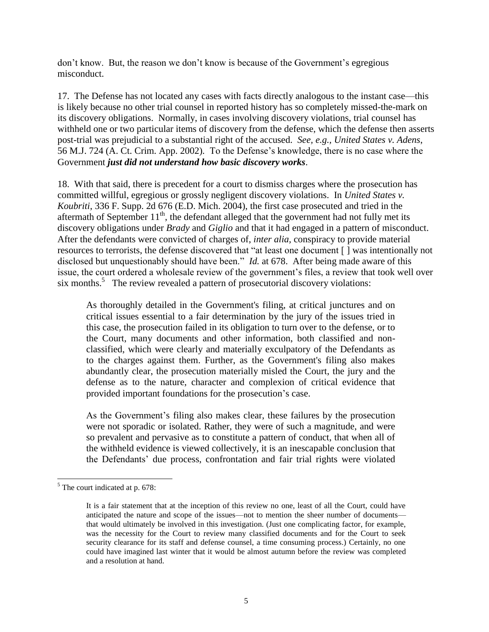don't know. But, the reason we don't know is because of the Government's egregious misconduct.

17. The Defense has not located any cases with facts directly analogous to the instant case—this is likely because no other trial counsel in reported history has so completely missed-the-mark on its discovery obligations. Normally, in cases involving discovery violations, trial counsel has withheld one or two particular items of discovery from the defense, which the defense then asserts post-trial was prejudicial to a substantial right of the accused. *See, e.g., United States v. Adens*, 56 M.J. 724 (A. Ct. Crim. App. 2002). To the Defense's knowledge, there is no case where the Government *just did not understand how basic discovery works*.

18. With that said, there is precedent for a court to dismiss charges where the prosecution has committed willful, egregious or grossly negligent discovery violations. In *United States v. Koubriti*, 336 F. Supp. 2d 676 (E.D. Mich. 2004), the first case prosecuted and tried in the aftermath of September  $11<sup>th</sup>$ , the defendant alleged that the government had not fully met its discovery obligations under *Brady* and *Giglio* and that it had engaged in a pattern of misconduct. After the defendants were convicted of charges of, *inter alia,* conspiracy to provide material resources to terrorists, the defense discovered that "at least one document [ ] was intentionally not disclosed but unquestionably should have been." *Id.* at 678. After being made aware of this issue, the court ordered a wholesale review of the government's files, a review that took well over six months.<sup>5</sup> The review revealed a pattern of prosecutorial discovery violations:

As thoroughly detailed in the Government's filing, at critical junctures and on critical issues essential to a fair determination by the jury of the issues tried in this case, the prosecution failed in its obligation to turn over to the defense, or to the Court, many documents and other information, both classified and nonclassified, which were clearly and materially exculpatory of the Defendants as to the charges against them. Further, as the Government's filing also makes abundantly clear, the prosecution materially misled the Court, the jury and the defense as to the nature, character and complexion of critical evidence that provided important foundations for the prosecution's case.

As the Government's filing also makes clear, these failures by the prosecution were not sporadic or isolated. Rather, they were of such a magnitude, and were so prevalent and pervasive as to constitute a pattern of conduct, that when all of the withheld evidence is viewed collectively, it is an inescapable conclusion that the Defendants' due process, confrontation and fair trial rights were violated

 $\overline{a}$ 

<sup>5</sup> The court indicated at p. 678:

It is a fair statement that at the inception of this review no one, least of all the Court, could have anticipated the nature and scope of the issues—not to mention the sheer number of documents that would ultimately be involved in this investigation. (Just one complicating factor, for example, was the necessity for the Court to review many classified documents and for the Court to seek security clearance for its staff and defense counsel, a time consuming process.) Certainly, no one could have imagined last winter that it would be almost autumn before the review was completed and a resolution at hand.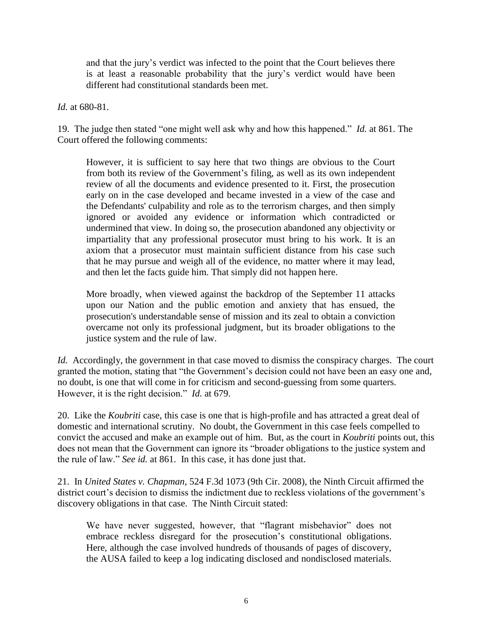and that the jury's verdict was infected to the point that the Court believes there is at least a reasonable probability that the jury's verdict would have been different had constitutional standards been met.

*Id.* at 680-81.

19. The judge then stated "one might well ask why and how this happened." *Id.* at 861. The Court offered the following comments:

However, it is sufficient to say here that two things are obvious to the Court from both its review of the Government's filing, as well as its own independent review of all the documents and evidence presented to it. First, the prosecution early on in the case developed and became invested in a view of the case and the Defendants' culpability and role as to the terrorism charges, and then simply ignored or avoided any evidence or information which contradicted or undermined that view. In doing so, the prosecution abandoned any objectivity or impartiality that any professional prosecutor must bring to his work. It is an axiom that a prosecutor must maintain sufficient distance from his case such that he may pursue and weigh all of the evidence, no matter where it may lead, and then let the facts guide him. That simply did not happen here.

More broadly, when viewed against the backdrop of the September 11 attacks upon our Nation and the public emotion and anxiety that has ensued, the prosecution's understandable sense of mission and its zeal to obtain a conviction overcame not only its professional judgment, but its broader obligations to the justice system and the rule of law.

*Id.* Accordingly, the government in that case moved to dismiss the conspiracy charges. The court granted the motion, stating that "the Government's decision could not have been an easy one and, no doubt, is one that will come in for criticism and second-guessing from some quarters. However, it is the right decision." *Id.* at 679.

20. Like the *Koubriti* case, this case is one that is high-profile and has attracted a great deal of domestic and international scrutiny. No doubt, the Government in this case feels compelled to convict the accused and make an example out of him. But, as the court in *Koubriti* points out, this does not mean that the Government can ignore its "broader obligations to the justice system and the rule of law." *See id.* at 861. In this case, it has done just that.

21. In *United States v. Chapman*, 524 F.3d 1073 (9th Cir. 2008), the Ninth Circuit affirmed the district court's decision to dismiss the indictment due to reckless violations of the government's discovery obligations in that case. The Ninth Circuit stated:

We have never suggested, however, that "flagrant misbehavior" does not embrace reckless disregard for the prosecution's constitutional obligations. Here, although the case involved hundreds of thousands of pages of discovery, the AUSA failed to keep a log indicating disclosed and nondisclosed materials.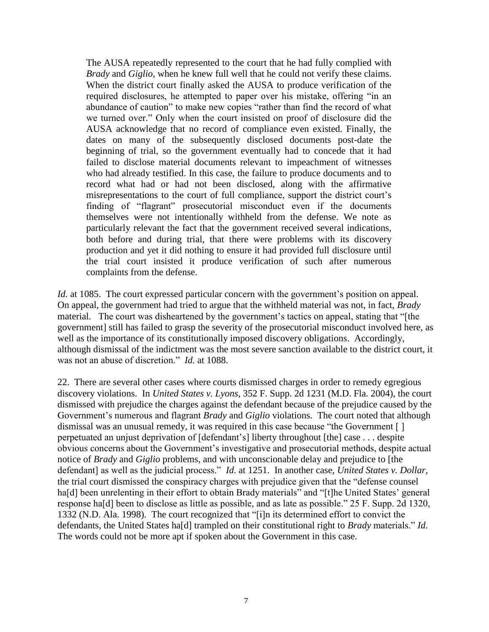The AUSA repeatedly represented to the court that he had fully complied with *[Brady](http://www.westlaw.com/Find/Default.wl?rs=dfa1.0&vr=2.0&FindType=Y&SerialNum=1963125353)* and *[Giglio,](http://www.westlaw.com/Find/Default.wl?rs=dfa1.0&vr=2.0&FindType=Y&SerialNum=1972127068)* when he knew full well that he could not verify these claims. When the district court finally asked the AUSA to produce verification of the required disclosures, he attempted to paper over his mistake, offering "in an abundance of caution" to make new copies "rather than find the record of what we turned over." Only when the court insisted on proof of disclosure did the AUSA acknowledge that no record of compliance even existed. Finally, the dates on many of the subsequently disclosed documents post-date the beginning of trial, so the government eventually had to concede that it had failed to disclose material documents relevant to impeachment of witnesses who had already testified. In this case, the failure to produce documents and to record what had or had not been disclosed, along with the affirmative misrepresentations to the court of full compliance, support the district court's finding of "flagrant" prosecutorial misconduct even if the documents themselves were not intentionally withheld from the defense. We note as particularly relevant the fact that the government received several indications, both before and during trial, that there were problems with its discovery production and yet it did nothing to ensure it had provided full disclosure until the trial court insisted it produce verification of such after numerous complaints from the defense.

*Id.* at 1085. The court expressed particular concern with the government's position on appeal. On appeal, the government had tried to argue that the withheld material was not, in fact, *Brady* material. The court was disheartened by the government's tactics on appeal, stating that "[the government] still has failed to grasp the severity of the prosecutorial misconduct involved here, as well as the importance of its constitutionally imposed discovery obligations. Accordingly, although dismissal of the indictment was the most severe sanction available to the district court, it was not an abuse of discretion." *Id.* at 1088.

22. There are several other cases where courts dismissed charges in order to remedy egregious discovery violations. In *United States v. Lyons*, 352 F. Supp. 2d 1231 (M.D. Fla. 2004), the court dismissed with prejudice the charges against the defendant because of the prejudice caused by the Government's numerous and flagrant *Brady* and *Giglio* violations. The court noted that although dismissal was an unusual remedy, it was required in this case because "the Government [ ] perpetuated an unjust deprivation of [defendant's] liberty throughout [the] case . . . despite obvious concerns about the Government's investigative and prosecutorial methods, despite actual notice of *Brady* and *Giglio* problems, and with unconscionable delay and prejudice to [the defendant] as well as the judicial process." *Id*. at 1251. In another case, *United States v. Dollar*, the trial court dismissed the conspiracy charges with prejudice given that the "defense counsel ha[d] been unrelenting in their effort to obtain Brady materials" and "[t]he United States' general response ha[d] been to disclose as little as possible, and as late as possible." 25 F. Supp. 2d 1320, 1332 (N.D. Ala. 1998). The court recognized that "[i]n its determined effort to convict the defendants, the United States ha[d] trampled on their constitutional right to *Brady* materials." *Id.* The words could not be more apt if spoken about the Government in this case.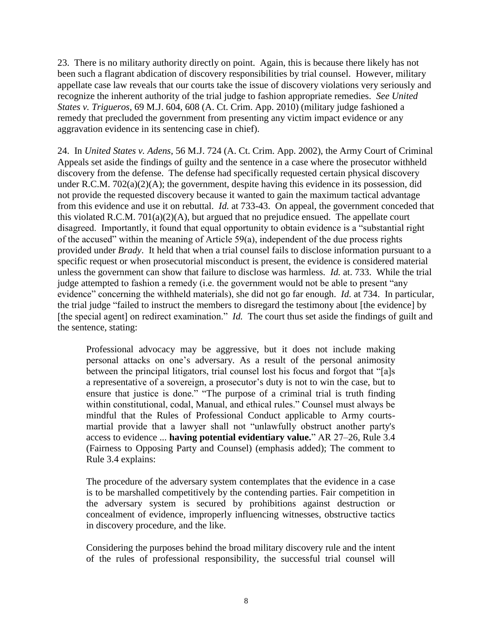23. There is no military authority directly on point. Again, this is because there likely has not been such a flagrant abdication of discovery responsibilities by trial counsel. However, military appellate case law reveals that our courts take the issue of discovery violations very seriously and recognize the inherent authority of the trial judge to fashion appropriate remedies. *See United States v. Trigueros*, 69 M.J. 604, 608 (A. Ct. Crim. App. 2010) (military judge fashioned a remedy that precluded the government from presenting any victim impact evidence or any aggravation evidence in its sentencing case in chief).

24. In *United States v. Adens*, 56 M.J. 724 (A. Ct. Crim. App. 2002), the Army Court of Criminal Appeals set aside the findings of guilty and the sentence in a case where the prosecutor withheld discovery from the defense. The defense had specifically requested certain physical discovery under R.C.M. 702(a)(2)(A); the government, despite having this evidence in its possession, did not provide the requested discovery because it wanted to gain the maximum tactical advantage from this evidence and use it on rebuttal. *Id.* at 733-43. On appeal, the government conceded that this violated R.C.M. 701(a)(2)(A), but argued that no prejudice ensued. The appellate court disagreed. Importantly, it found that equal opportunity to obtain evidence is a "substantial right of the accused" within the meaning of Article 59(a), independent of the due process rights provided under *Brady*. It held that when a trial counsel fails to disclose information pursuant to a specific request or when prosecutorial misconduct is present, the evidence is considered material unless the government can show that failure to disclose was harmless. *Id.* at. 733. While the trial judge attempted to fashion a remedy (i.e. the government would not be able to present "any evidence" concerning the withheld materials), she did not go far enough. *Id.* at 734. In particular, the trial judge "failed to instruct the members to disregard the testimony about [the evidence] by [the special agent] on redirect examination." *Id.* The court thus set aside the findings of guilt and the sentence, stating:

Professional advocacy may be aggressive, but it does not include making personal attacks on one's adversary. As a result of the personal animosity between the principal litigators, trial counsel lost his focus and forgot that "[a]s a representative of a sovereign, a prosecutor's duty is not to win the case, but to ensure that justice is done." "The purpose of a criminal trial is truth finding within constitutional, codal, Manual, and ethical rules." Counsel must always be mindful that the Rules of Professional Conduct applicable to Army courtsmartial provide that a lawyer shall not "unlawfully obstruct another party's access to evidence ... **having potential evidentiary value.**" AR 27–26, Rule 3.4 (Fairness to Opposing Party and Counsel) (emphasis added); The comment to Rule 3.4 explains:

The procedure of the adversary system contemplates that the evidence in a case is to be marshalled competitively by the contending parties. Fair competition in the adversary system is secured by prohibitions against destruction or concealment of evidence, improperly influencing witnesses, obstructive tactics in discovery procedure, and the like.

Considering the purposes behind the broad military discovery rule and the intent of the rules of professional responsibility, the successful trial counsel will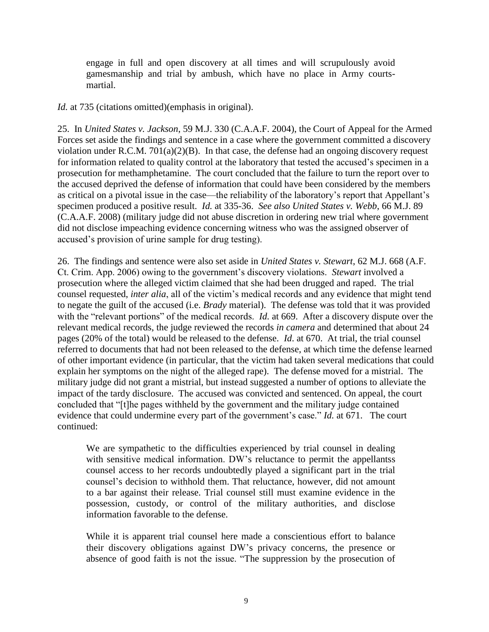engage in full and open discovery at all times and will scrupulously avoid gamesmanship and trial by ambush, which have no place in Army courtsmartial.

*Id.* at 735 (citations omitted)(emphasis in original).

25. In *United States v. Jackson*, 59 M.J. 330 (C.A.A.F. 2004), the Court of Appeal for the Armed Forces set aside the findings and sentence in a case where the government committed a discovery violation under R.C.M.  $701(a)(2)(B)$ . In that case, the defense had an ongoing discovery request for information related to quality control at the laboratory that tested the accused's specimen in a prosecution for methamphetamine. The court concluded that the failure to turn the report over to the accused deprived the defense of information that could have been considered by the members as critical on a pivotal issue in the case—the reliability of the laboratory's report that Appellant's specimen produced a positive result. *Id.* at 335-36. *See also United States v. Webb*, 66 M.J. 89 (C.A.A.F. 2008) (military judge did not abuse discretion in ordering new trial where government did not disclose impeaching evidence concerning witness who was the assigned observer of accused's provision of urine sample for drug testing).

26. The findings and sentence were also set aside in *United States v. Stewart*, 62 M.J. 668 (A.F. Ct. Crim. App. 2006) owing to the government's discovery violations. *Stewart* involved a prosecution where the alleged victim claimed that she had been drugged and raped. The trial counsel requested, *inter alia*, all of the victim's medical records and any evidence that might tend to negate the guilt of the accused (i.e. *Brady* material). The defense was told that it was provided with the "relevant portions" of the medical records. *Id.* at 669. After a discovery dispute over the relevant medical records, the judge reviewed the records *in camera* and determined that about 24 pages (20% of the total) would be released to the defense. *Id*. at 670. At trial, the trial counsel referred to documents that had not been released to the defense, at which time the defense learned of other important evidence (in particular, that the victim had taken several medications that could explain her symptoms on the night of the alleged rape). The defense moved for a mistrial. The military judge did not grant a mistrial, but instead suggested a number of options to alleviate the impact of the tardy disclosure. The accused was convicted and sentenced. On appeal, the court concluded that "[t]he pages withheld by the government and the military judge contained evidence that could undermine every part of the government's case." *Id.* at 671. The court continued:

We are sympathetic to the difficulties experienced by trial counsel in dealing with sensitive medical information. DW's reluctance to permit the appellantss counsel access to her records undoubtedly played a significant part in the trial counsel's decision to withhold them. That reluctance, however, did not amount to a bar against their release. Trial counsel still must examine evidence in the possession, custody, or control of the military authorities, and disclose information favorable to the defense.

While it is apparent trial counsel here made a conscientious effort to balance their discovery obligations against DW's privacy concerns, the presence or absence of good faith is not the issue. "The suppression by the prosecution of